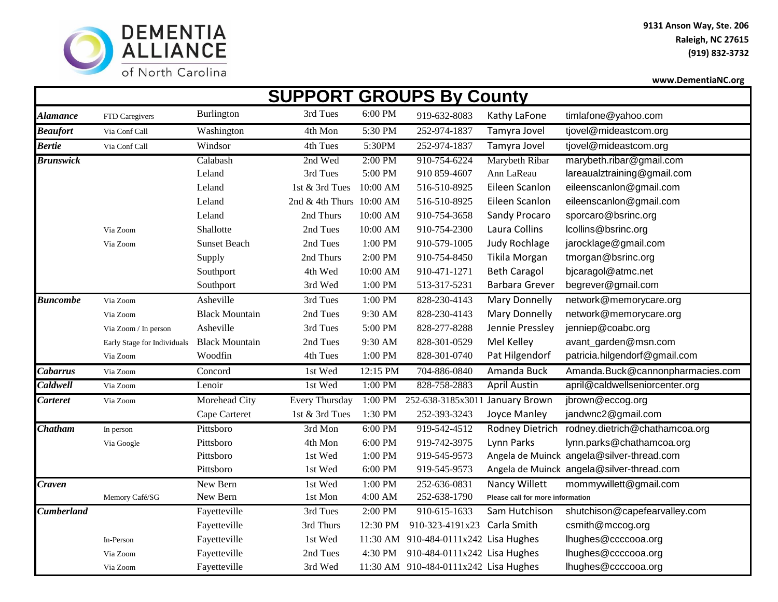

**9131 Anson Way, Ste. 206 Raleigh, NC 27615 (919) 832-3732**

**www.DementiaNC.org** 

| <b>SUPPORT GROUPS By County</b> |                             |                       |                          |           |                                       |                                  |                                           |  |  |
|---------------------------------|-----------------------------|-----------------------|--------------------------|-----------|---------------------------------------|----------------------------------|-------------------------------------------|--|--|
| <b>Alamance</b>                 | FTD Caregivers              | <b>Burlington</b>     | 3rd Tues                 | 6:00 PM   | 919-632-8083                          | Kathy LaFone                     | timlafone@yahoo.com                       |  |  |
| <b>Beaufort</b>                 | Via Conf Call               | Washington            | 4th Mon                  | 5:30 PM   | 252-974-1837                          | Tamyra Jovel                     | tjovel@mideastcom.org                     |  |  |
| <b>Bertie</b>                   | Via Conf Call               | Windsor               | 4th Tues                 | 5:30PM    | 252-974-1837                          | Tamyra Jovel                     | tjovel@mideastcom.org                     |  |  |
| <b>Brunswick</b>                |                             | Calabash              | 2nd Wed                  | $2:00$ PM | 910-754-6224                          | Marybeth Ribar                   | marybeth.ribar@gmail.com                  |  |  |
|                                 |                             | Leland                | 3rd Tues                 | 5:00 PM   | 910 859-4607                          | Ann LaReau                       | lareaualztraining@gmail.com               |  |  |
|                                 |                             | Leland                | 1st & 3rd Tues           | 10:00 AM  | 516-510-8925                          | Eileen Scanlon                   | eileenscanlon@gmail.com                   |  |  |
|                                 |                             | Leland                | 2nd & 4th Thurs 10:00 AM |           | 516-510-8925                          | Eileen Scanlon                   | eileenscanlon@gmail.com                   |  |  |
|                                 |                             | Leland                | 2nd Thurs                | 10:00 AM  | 910-754-3658                          | Sandy Procaro                    | sporcaro@bsrinc.org                       |  |  |
|                                 | Via Zoom                    | Shallotte             | 2nd Tues                 | 10:00 AM  | 910-754-2300                          | Laura Collins                    | lcollins@bsrinc.org                       |  |  |
|                                 | Via Zoom                    | <b>Sunset Beach</b>   | 2nd Tues                 | 1:00 PM   | 910-579-1005                          | Judy Rochlage                    | jarocklage@gmail.com                      |  |  |
|                                 |                             | Supply                | 2nd Thurs                | 2:00 PM   | 910-754-8450                          | Tikila Morgan                    | tmorgan@bsrinc.org                        |  |  |
|                                 |                             | Southport             | 4th Wed                  | 10:00 AM  | 910-471-1271                          | <b>Beth Caragol</b>              | bjcaragol@atmc.net                        |  |  |
|                                 |                             | Southport             | 3rd Wed                  | 1:00 PM   | 513-317-5231                          | <b>Barbara Grever</b>            | begrever@gmail.com                        |  |  |
| <b>Buncombe</b>                 | Via Zoom                    | Asheville             | 3rd Tues                 | 1:00 PM   | 828-230-4143                          | Mary Donnelly                    | network@memorycare.org                    |  |  |
|                                 | Via Zoom                    | <b>Black Mountain</b> | 2nd Tues                 | 9:30 AM   | 828-230-4143                          | <b>Mary Donnelly</b>             | network@memorycare.org                    |  |  |
|                                 | Via Zoom / In person        | Asheville             | 3rd Tues                 | 5:00 PM   | 828-277-8288                          | Jennie Pressley                  | jenniep@coabc.org                         |  |  |
|                                 | Early Stage for Individuals | <b>Black Mountain</b> | 2nd Tues                 | 9:30 AM   | 828-301-0529                          | Mel Kelley                       | avant_garden@msn.com                      |  |  |
|                                 | Via Zoom                    | Woodfin               | 4th Tues                 | 1:00 PM   | 828-301-0740                          | Pat Hilgendorf                   | patricia.hilgendorf@gmail.com             |  |  |
| <b>Cabarrus</b>                 | Via Zoom                    | Concord               | 1st Wed                  | 12:15 PM  | 704-886-0840                          | Amanda Buck                      | Amanda.Buck@cannonpharmacies.com          |  |  |
| <b>Caldwell</b>                 | Via Zoom                    | Lenoir                | 1st Wed                  | 1:00 PM   | 828-758-2883                          | <b>April Austin</b>              | april@caldwellseniorcenter.org            |  |  |
| Carteret                        | Via Zoom                    | Morehead City         | Every Thursday           | 1:00 PM   | 252-638-3185x3011                     | January Brown                    | jbrown@eccog.org                          |  |  |
|                                 |                             | Cape Carteret         | 1st & 3rd Tues           | 1:30 PM   | 252-393-3243                          | Joyce Manley                     | jandwnc2@gmail.com                        |  |  |
| <b>Chatham</b>                  | In person                   | Pittsboro             | 3rd Mon                  | 6:00 PM   | 919-542-4512                          | <b>Rodney Dietrich</b>           | rodney.dietrich@chathamcoa.org            |  |  |
|                                 | Via Google                  | Pittsboro             | 4th Mon                  | 6:00 PM   | 919-742-3975                          | Lynn Parks                       | lynn.parks@chathamcoa.org                 |  |  |
|                                 |                             | Pittsboro             | 1st Wed                  | 1:00 PM   | 919-545-9573                          |                                  | Angela de Muinck angela@silver-thread.com |  |  |
|                                 |                             | Pittsboro             | 1st Wed                  | 6:00 PM   | 919-545-9573                          |                                  | Angela de Muinck angela@silver-thread.com |  |  |
| <b>Craven</b>                   |                             | New Bern              | 1st Wed                  | 1:00 PM   | 252-636-0831                          | <b>Nancy Willett</b>             | mommywillett@gmail.com                    |  |  |
|                                 | Memory Café/SG              | New Bern              | 1st Mon                  | 4:00 AM   | 252-638-1790                          | Please call for more information |                                           |  |  |
| Cumberland                      |                             | Fayetteville          | 3rd Tues                 | 2:00 PM   | 910-615-1633                          | Sam Hutchison                    | shutchison@capefearvalley.com             |  |  |
|                                 |                             | Fayetteville          | 3rd Thurs                | 12:30 PM  | 910-323-4191x23                       | Carla Smith                      | csmith@mccog.org                          |  |  |
|                                 | In-Person                   | Fayetteville          | 1st Wed                  |           | 11:30 AM 910-484-0111x242 Lisa Hughes |                                  | lhughes@ccccooa.org                       |  |  |
|                                 | Via Zoom                    | Fayetteville          | 2nd Tues                 | 4:30 PM   | 910-484-0111x242 Lisa Hughes          |                                  | lhughes@ccccooa.org                       |  |  |
|                                 | Via Zoom                    | Fayetteville          | 3rd Wed                  |           | 11:30 AM 910-484-0111x242 Lisa Hughes |                                  | lhughes@ccccooa.org                       |  |  |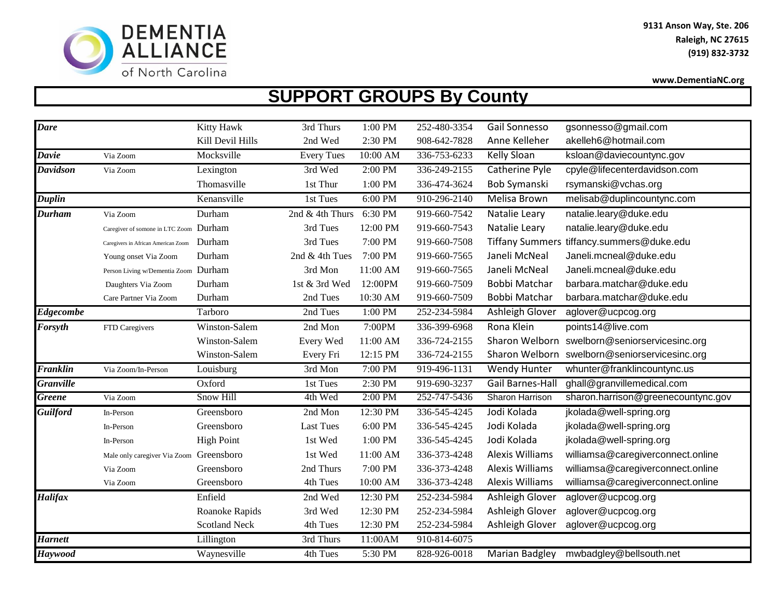

## **SUPPORT GROUPS By County**

| <b>Dare</b>      |                                         | Kitty Hawk           | 3rd Thurs         | 1:00 PM  | 252-480-3354 | Gail Sonnesso          | gsonnesso@gmail.com                           |
|------------------|-----------------------------------------|----------------------|-------------------|----------|--------------|------------------------|-----------------------------------------------|
|                  |                                         | Kill Devil Hills     | 2nd Wed           | 2:30 PM  | 908-642-7828 | Anne Kelleher          | akelleh6@hotmail.com                          |
| <b>Davie</b>     | Via Zoom                                | Mocksville           | <b>Every Tues</b> | 10:00 AM | 336-753-6233 | <b>Kelly Sloan</b>     | ksloan@daviecountync.gov                      |
| <b>Davidson</b>  | Via Zoom                                | Lexington            | 3rd Wed           | 2:00 PM  | 336-249-2155 | Catherine Pyle         | cpyle@lifecenterdavidson.com                  |
|                  |                                         | Thomasville          | 1st Thur          | 1:00 PM  | 336-474-3624 | Bob Symanski           | rsymanski@vchas.org                           |
| <b>Duplin</b>    |                                         | Kenansville          | 1st Tues          | 6:00 PM  | 910-296-2140 | <b>Melisa Brown</b>    | melisab@duplincountync.com                    |
| <b>Durham</b>    | Via Zoom                                | Durham               | 2nd & 4th Thurs   | 6:30 PM  | 919-660-7542 | Natalie Leary          | natalie.leary@duke.edu                        |
|                  | Caregiver of somone in LTC Zoom Durham  |                      | 3rd Tues          | 12:00 PM | 919-660-7543 | Natalie Leary          | natalie.leary@duke.edu                        |
|                  | Caregivers in African American Zoom     | Durham               | 3rd Tues          | 7:00 PM  | 919-660-7508 |                        | Tiffany Summers tiffancy.summers@duke.edu     |
|                  | Young onset Via Zoom                    | Durham               | 2nd & 4th Tues    | 7:00 PM  | 919-660-7565 | Janeli McNeal          | Janeli.mcneal@duke.edu                        |
|                  | Person Living w/Dementia Zoom Durham    |                      | 3rd Mon           | 11:00 AM | 919-660-7565 | Janeli McNeal          | Janeli.mcneal@duke.edu                        |
|                  | Daughters Via Zoom                      | Durham               | 1st & 3rd Wed     | 12:00PM  | 919-660-7509 | Bobbi Matchar          | barbara.matchar@duke.edu                      |
|                  | Care Partner Via Zoom                   | Durham               | 2nd Tues          | 10:30 AM | 919-660-7509 | Bobbi Matchar          | barbara.matchar@duke.edu                      |
| <b>Edgecombe</b> |                                         | Tarboro              | 2nd Tues          | 1:00 PM  | 252-234-5984 | Ashleigh Glover        | aglover@ucpcog.org                            |
| <b>Forsyth</b>   | FTD Caregivers                          | Winston-Salem        | 2nd Mon           | 7:00PM   | 336-399-6968 | Rona Klein             | points14@live.com                             |
|                  |                                         | Winston-Salem        | Every Wed         | 11:00 AM | 336-724-2155 |                        | Sharon Welborn swelborn@seniorservicesinc.org |
|                  |                                         | Winston-Salem        | Every Fri         | 12:15 PM | 336-724-2155 |                        | Sharon Welborn swelborn@seniorservicesinc.org |
| Franklin         | Via Zoom/In-Person                      | Louisburg            | 3rd Mon           | 7:00 PM  | 919-496-1131 | <b>Wendy Hunter</b>    | whunter@franklincountync.us                   |
| <b>Granville</b> |                                         | Oxford               | 1st Tues          | 2:30 PM  | 919-690-3237 | Gail Barnes-Hall       | ghall@granvillemedical.com                    |
| <b>Greene</b>    | Via Zoom                                | Snow Hill            | 4th Wed           | 2:00 PM  | 252-747-5436 | Sharon Harrison        | sharon.harrison@greenecountync.gov            |
| <b>Guilford</b>  | In-Person                               | Greensboro           | 2nd Mon           | 12:30 PM | 336-545-4245 | Jodi Kolada            | jkolada@well-spring.org                       |
|                  | In-Person                               | Greensboro           | <b>Last Tues</b>  | 6:00 PM  | 336-545-4245 | Jodi Kolada            | jkolada@well-spring.org                       |
|                  | In-Person                               | <b>High Point</b>    | 1st Wed           | 1:00 PM  | 336-545-4245 | Jodi Kolada            | jkolada@well-spring.org                       |
|                  | Male only caregiver Via Zoom Greensboro |                      | 1st Wed           | 11:00 AM | 336-373-4248 | <b>Alexis Williams</b> | williamsa@caregiverconnect.online             |
|                  | Via Zoom                                | Greensboro           | 2nd Thurs         | 7:00 PM  | 336-373-4248 | <b>Alexis Williams</b> | williamsa@caregiverconnect.online             |
|                  | Via Zoom                                | Greensboro           | 4th Tues          | 10:00 AM | 336-373-4248 | <b>Alexis Williams</b> | williamsa@caregiverconnect.online             |
| <b>Halifax</b>   |                                         | Enfield              | 2nd Wed           | 12:30 PM | 252-234-5984 | Ashleigh Glover        | aglover@ucpcog.org                            |
|                  |                                         | Roanoke Rapids       | 3rd Wed           | 12:30 PM | 252-234-5984 | Ashleigh Glover        | aglover@ucpcog.org                            |
|                  |                                         | <b>Scotland Neck</b> | 4th Tues          | 12:30 PM | 252-234-5984 | Ashleigh Glover        | aglover@ucpcog.org                            |
| <b>Harnett</b>   |                                         | Lillington           | 3rd Thurs         | 11:00AM  | 910-814-6075 |                        |                                               |
| <b>Haywood</b>   |                                         | Waynesville          | 4th Tues          | 5:30 PM  | 828-926-0018 | Marian Badgley         | mwbadgley@bellsouth.net                       |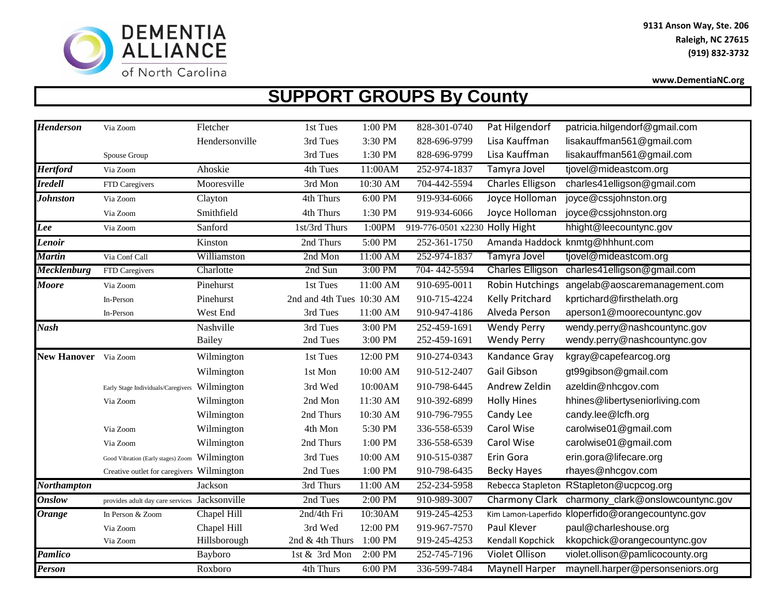

## **SUPPORT GROUPS By County**

| <b>Henderson</b>     | Via Zoom                                      | Fletcher       | 1st Tues                  | 1:00 PM   | 828-301-0740                   | Pat Hilgendorf          | patricia.hilgendorf@gmail.com                     |
|----------------------|-----------------------------------------------|----------------|---------------------------|-----------|--------------------------------|-------------------------|---------------------------------------------------|
|                      |                                               | Hendersonville | 3rd Tues                  | 3:30 PM   | 828-696-9799                   | Lisa Kauffman           | lisakauffman561@gmail.com                         |
|                      | Spouse Group                                  |                | 3rd Tues                  | 1:30 PM   | 828-696-9799                   | Lisa Kauffman           | lisakauffman561@gmail.com                         |
| <b>Hertford</b>      | Via Zoom                                      | Ahoskie        | 4th Tues                  | 11:00AM   | 252-974-1837                   | Tamyra Jovel            | tjovel@mideastcom.org                             |
| <b>Iredell</b>       | FTD Caregivers                                | Mooresville    | 3rd Mon                   | 10:30 AM  | 704-442-5594                   | Charles Elligson        | charles41elligson@gmail.com                       |
| <b>Johnston</b>      | Via Zoom                                      | Clayton        | 4th Thurs                 | $6:00$ PM | 919-934-6066                   | Joyce Holloman          | joyce@cssjohnston.org                             |
|                      | Via Zoom                                      | Smithfield     | 4th Thurs                 | 1:30 PM   | 919-934-6066                   | Joyce Holloman          | joyce@cssjohnston.org                             |
| Lee                  | Via Zoom                                      | Sanford        | 1st/3rd Thurs             | 1:00PM    | 919-776-0501 x2230 Holly Hight |                         | hhight@leecountync.gov                            |
| Lenoir               |                                               | Kinston        | 2nd Thurs                 | 5:00 PM   | 252-361-1750                   |                         | Amanda Haddock knmtg@hhhunt.com                   |
| <b>Martin</b>        | Via Conf Call                                 | Williamston    | 2nd Mon                   | 11:00 AM  | 252-974-1837                   | Tamyra Jovel            | tjovel@mideastcom.org                             |
| <b>Mecklenburg</b>   | FTD Caregivers                                | Charlotte      | 2nd Sun                   | 3:00 PM   | 704-442-5594                   | <b>Charles Elligson</b> | charles41elligson@gmail.com                       |
| <b>Moore</b>         | Via Zoom                                      | Pinehurst      | 1st Tues                  | 11:00 AM  | 910-695-0011                   | Robin Hutchings         | angelab@aoscaremanagement.com                     |
|                      | In-Person                                     | Pinehurst      | 2nd and 4th Tues 10:30 AM |           | 910-715-4224                   | Kelly Pritchard         | kprtichard@firsthelath.org                        |
|                      | In-Person                                     | West End       | 3rd Tues                  | 11:00 AM  | 910-947-4186                   | Alveda Person           | aperson1@moorecountync.gov                        |
| <b>Nash</b>          |                                               | Nashville      | 3rd Tues                  | $3:00$ PM | 252-459-1691                   | <b>Wendy Perry</b>      | wendy.perry@nashcountync.gov                      |
|                      |                                               | <b>Bailey</b>  | 2nd Tues                  | 3:00 PM   | 252-459-1691                   | <b>Wendy Perry</b>      | wendy.perry@nashcountync.gov                      |
| New Hanover Via Zoom |                                               | Wilmington     | 1st Tues                  | 12:00 PM  | 910-274-0343                   | Kandance Gray           | kgray@capefearcog.org                             |
|                      |                                               | Wilmington     | 1st Mon                   | 10:00 AM  | 910-512-2407                   | Gail Gibson             | gt99gibson@gmail.com                              |
|                      | Early Stage Individuals/Caregivers Wilmington |                | 3rd Wed                   | 10:00AM   | 910-798-6445                   | Andrew Zeldin           | azeldin@nhcgov.com                                |
|                      | Via Zoom                                      | Wilmington     | 2nd Mon                   | 11:30 AM  | 910-392-6899                   | <b>Holly Hines</b>      | hhines@libertyseniorliving.com                    |
|                      |                                               | Wilmington     | 2nd Thurs                 | 10:30 AM  | 910-796-7955                   | Candy Lee               | candy.lee@lcfh.org                                |
|                      | Via Zoom                                      | Wilmington     | 4th Mon                   | 5:30 PM   | 336-558-6539                   | Carol Wise              | carolwise01@gmail.com                             |
|                      | Via Zoom                                      | Wilmington     | 2nd Thurs                 | 1:00 PM   | 336-558-6539                   | Carol Wise              | carolwise01@gmail.com                             |
|                      | Good Vibration (Early stages) Zoom Wilmington |                | 3rd Tues                  | 10:00 AM  | 910-515-0387                   | Erin Gora               | erin.gora@lifecare.org                            |
|                      | Creative outlet for caregivers Wilmington     |                | 2nd Tues                  | 1:00 PM   | 910-798-6435                   | <b>Becky Hayes</b>      | rhayes@nhcgov.com                                 |
| <b>Northampton</b>   |                                               | Jackson        | 3rd Thurs                 | 11:00 AM  | 252-234-5958                   |                         | Rebecca Stapleton RStapleton@ucpcog.org           |
| <b>Onslow</b>        | provides adult day care services Jacksonville |                | 2nd Tues                  | 2:00 PM   | 910-989-3007                   | Charmony Clark          | charmony_clark@onslowcountync.gov                 |
| <b>Orange</b>        | In Person & Zoom                              | Chapel Hill    | 2nd/4th Fri               | 10:30AM   | 919-245-4253                   |                         | Kim Lamon-Laperfido kloperfido@orangecountync.gov |
|                      | Via Zoom                                      | Chapel Hill    | 3rd Wed                   | 12:00 PM  | 919-967-7570                   | Paul Klever             | paul@charleshouse.org                             |
|                      | Via Zoom                                      | Hillsborough   | 2nd & 4th Thurs           | 1:00 PM   | 919-245-4253                   | Kendall Kopchick        | kkopchick@orangecountync.gov                      |
| Pamlico              |                                               | Bayboro        | 1st & 3rd Mon             | 2:00 PM   | 252-745-7196                   | Violet Ollison          | violet.ollison@pamlicocounty.org                  |
| <b>Person</b>        |                                               | Roxboro        | 4th Thurs                 | $6:00$ PM | 336-599-7484                   | Maynell Harper          | maynell.harper@personseniors.org                  |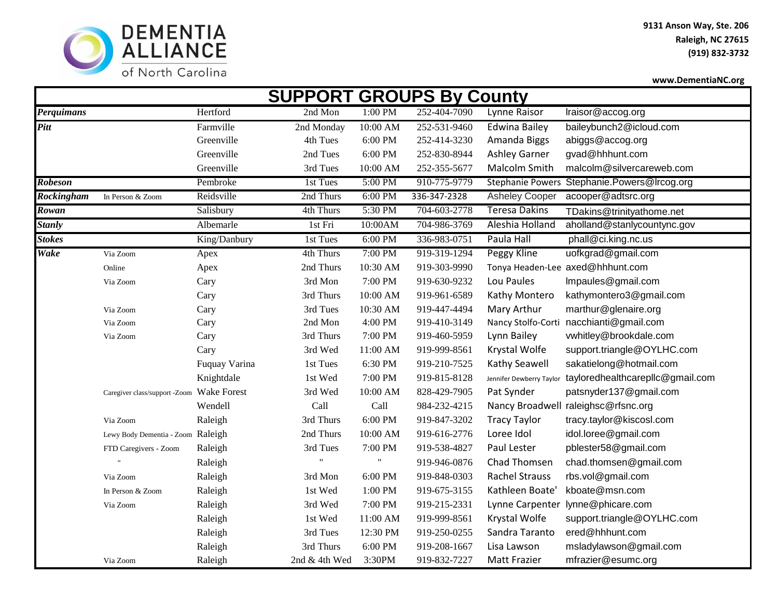

|                   |                                   |                    |               |           | <b>SUPPORT GROUPS By County</b> |                          |                                  |
|-------------------|-----------------------------------|--------------------|---------------|-----------|---------------------------------|--------------------------|----------------------------------|
| Perquimans        |                                   | Hertford           | 2nd Mon       | $1:00$ PM | 252-404-7090                    | Lynne Raisor             | Iraisor@accog.org                |
| <b>Pitt</b>       |                                   | Farmville          | 2nd Monday    | 10:00 AM  | 252-531-9460                    | <b>Edwina Bailey</b>     | baileybunch2@icloud.com          |
|                   |                                   | Greenville         | 4th Tues      | 6:00 PM   | 252-414-3230                    | Amanda Biggs             | abiggs@accog.org                 |
|                   |                                   | Greenville         | 2nd Tues      | 6:00 PM   | 252-830-8944                    | <b>Ashley Garner</b>     | gvad@hhhunt.com                  |
|                   |                                   | Greenville         | 3rd Tues      | 10:00 AM  | 252-355-5677                    | Malcolm Smith            | malcolm@silvercareweb.com        |
| <b>Robeson</b>    |                                   | Pembroke           | 1st Tues      | 5:00 PM   | 910-775-9779                    | <b>Stephanie Powers</b>  | Stephanie.Powers@Ircog.org       |
| <b>Rockingham</b> | In Person & Zoom                  | Reidsville         | 2nd Thurs     | 6:00 PM   | 336-347-2328                    | <b>Asheley Cooper</b>    | acooper@adtsrc.org               |
| <b>Rowan</b>      |                                   | Salisbury          | 4th Thurs     | 5:30 PM   | 704-603-2778                    | <b>Teresa Dakins</b>     | TDakins@trinityathome.net        |
| <b>Stanly</b>     |                                   | Albemarle          | 1st Fri       | 10:00AM   | 704-986-3769                    | Aleshia Holland          | aholland@stanlycountync.gov      |
| <b>Stokes</b>     |                                   | King/Danbury       | 1st Tues      | $6:00$ PM | 336-983-0751                    | Paula Hall               | phall@ci.king.nc.us              |
| Wake              | Via Zoom                          | Apex               | 4th Thurs     | 7:00 PM   | 919-319-1294                    | Peggy Kline              | uofkgrad@gmail.com               |
|                   | Online                            | Apex               | 2nd Thurs     | 10:30 AM  | 919-303-9990                    |                          | Tonya Headen-Lee axed@hhhunt.com |
|                   | Via Zoom                          | Cary               | 3rd Mon       | 7:00 PM   | 919-630-9232                    | Lou Paules               | Impaules@gmail.com               |
|                   |                                   | Cary               | 3rd Thurs     | 10:00 AM  | 919-961-6589                    | Kathy Montero            | kathymontero3@gmail.com          |
|                   | Via Zoom                          | Cary               | 3rd Tues      | 10:30 AM  | 919-447-4494                    | Mary Arthur              | marthur@glenaire.org             |
|                   | Via Zoom                          | Cary               | 2nd Mon       | 4:00 PM   | 919-410-3149                    | Nancy Stolfo-Corti       | nacchianti@gmail.com             |
|                   | Via Zoom                          | Cary               | 3rd Thurs     | 7:00 PM   | 919-460-5959                    | Lynn Bailey              | vwhitley@brookdale.com           |
|                   |                                   | Cary               | 3rd Wed       | 11:00 AM  | 919-999-8561                    | Krystal Wolfe            | support.triangle@OYLHC.com       |
|                   |                                   | Fuquay Varina      | 1st Tues      | 6:30 PM   | 919-210-7525                    | <b>Kathy Seawell</b>     | sakatielong@hotmail.com          |
|                   |                                   | Knightdale         | 1st Wed       | 7:00 PM   | 919-815-8128                    | Jennifer Dewberry Taylor | tayloredhealthcarepllc@gmail.com |
|                   | Caregiver class/support -Zoom     | <b>Wake Forest</b> | 3rd Wed       | 10:00 AM  | 828-429-7905                    | Pat Synder               | patsnyder137@gmail.com           |
|                   |                                   | Wendell            | Call          | Call      | 984-232-4215                    | Nancy Broadwell          | raleighsc@rfsnc.org              |
|                   | Via Zoom                          | Raleigh            | 3rd Thurs     | 6:00 PM   | 919-847-3202                    | <b>Tracy Taylor</b>      | tracy.taylor@kiscosl.com         |
|                   | Lewy Body Dementia - Zoom Raleigh |                    | 2nd Thurs     | 10:00 AM  | 919-616-2776                    | Loree Idol               | idol.loree@gmail.com             |
|                   | FTD Caregivers - Zoom             | Raleigh            | 3rd Tues      | 7:00 PM   | 919-538-4827                    | Paul Lester              | pblester58@gmail.com             |
|                   |                                   | Raleigh            |               |           | 919-946-0876                    | Chad Thomsen             | chad.thomsen@gmail.com           |
|                   | Via Zoom                          | Raleigh            | 3rd Mon       | 6:00 PM   | 919-848-0303                    | <b>Rachel Strauss</b>    | rbs.vol@gmail.com                |
|                   | In Person & Zoom                  | Raleigh            | 1st Wed       | 1:00 PM   | 919-675-3155                    | Kathleen Boate'          | kboate@msn.com                   |
|                   | Via Zoom                          | Raleigh            | 3rd Wed       | 7:00 PM   | 919-215-2331                    | Lynne Carpenter          | lynne@phicare.com                |
|                   |                                   | Raleigh            | 1st Wed       | 11:00 AM  | 919-999-8561                    | Krystal Wolfe            | support.triangle@OYLHC.com       |
|                   |                                   | Raleigh            | 3rd Tues      | 12:30 PM  | 919-250-0255                    | Sandra Taranto           | ered@hhhunt.com                  |
|                   |                                   | Raleigh            | 3rd Thurs     | 6:00 PM   | 919-208-1667                    | Lisa Lawson              | msladylawson@gmail.com           |
|                   | Via Zoom                          | Raleigh            | 2nd & 4th Wed | 3:30PM    | 919-832-7227                    | <b>Matt Frazier</b>      | mfrazier@esumc.org               |